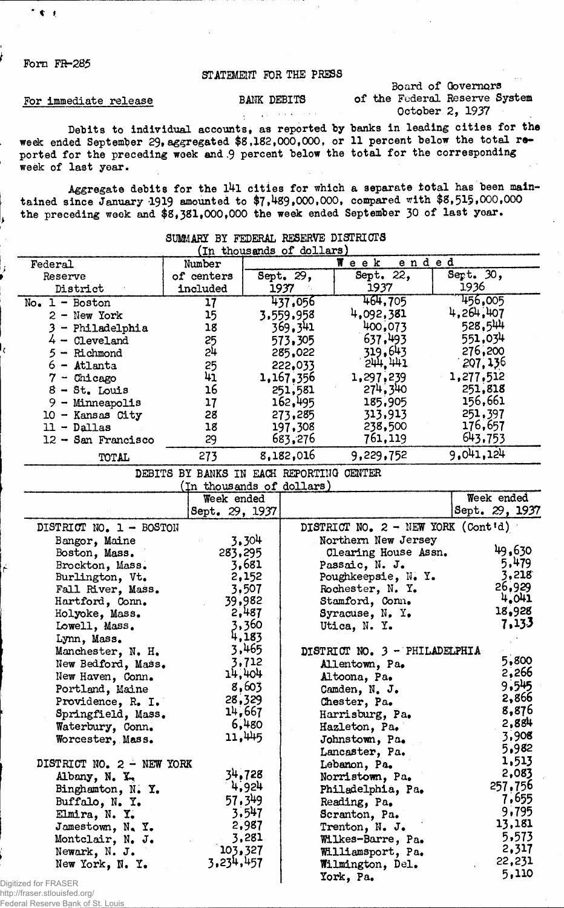Form FR-285

 $*$  t  $*$ 

#### STATEMENT FOR THE PRESS

#### For immediate release

BANK DEBITS

 $\mathcal{L}^{\pm}$ 

Board of Governors of the Federal Reserve System October 2, 1937

Debits to individual accounts, as reported by banks in leading cities for the week ended September 29**,** aggregated **\$**8 **,**182**,**000**,**000**,** or 11 percent below the total reported for the preceding week and 9 percent below the total for the corresponding week of last year.

Aggregate debits for the 141 cities for which a separate total has been maintained since January 1919 amounted to \$7**»**489**»**000**,**000**,** compared with **\$**8**,**515**\***000,000 ^ the preceding week and **\$**8**,**381**,**000,000 the week ended September 30 of last year.

| (In thousands of dollars) |                                          |           |                               |                                    |           |                |  |  |  |
|---------------------------|------------------------------------------|-----------|-------------------------------|------------------------------------|-----------|----------------|--|--|--|
| Federal                   | Number                                   |           |                               | Week<br>ended                      |           |                |  |  |  |
| Reserve                   | of centers                               | Sept. 29, |                               | Sept. 22,                          | Sept. 30, |                |  |  |  |
| District                  | included                                 | 1937      |                               | 1937                               | 1936      |                |  |  |  |
| $No. 1 - Boston$          | 17                                       | 437,056   |                               | 464,705                            |           | 456,005        |  |  |  |
| $2 - New York$            | 15                                       |           | 3,559,958                     | 4,092,381                          | 4,264,407 |                |  |  |  |
| $3$ - Philadelphia        | 18                                       |           | 369,341                       | 400,073                            | 528,544   |                |  |  |  |
| $4 -$ Cleveland           | 25                                       |           | 573,305                       | 637,493                            | 551,034   |                |  |  |  |
| 5 - Richmond              | 24                                       |           | 285,022                       | 319,643                            | 276,200   |                |  |  |  |
| $6 -$ Atlanta             | 25                                       |           | 222,033                       | 5111, 1117                         | 207,136   |                |  |  |  |
| $7$ - Chicago             | 41                                       |           | 1,167,356                     | 1,297,239                          | 1,277,512 |                |  |  |  |
| $8 - St.$ Louis           | 16                                       |           | 251,581                       | 274,340                            | 251,818   |                |  |  |  |
| $9 -$ Minneapolis         | 17                                       |           | 162,495                       | 185,905                            | 156,661   |                |  |  |  |
| $10 -$ Kansas City        | 28                                       |           | 273,285                       | 313,913                            | 251,397   |                |  |  |  |
| $11 - Dallas$             | 18                                       |           | 197,308                       | 238,500                            | 176,657   |                |  |  |  |
| $12 -$ San Francisco      | 29                                       |           | 683,276                       | 761,119                            | 643,753   |                |  |  |  |
| TOTAL                     | 273                                      |           | 8,182,016                     | 9,229,752                          | 9.041.124 |                |  |  |  |
|                           | DEBITS BY BANKS IN EACH REPORTING CENTER |           |                               |                                    |           |                |  |  |  |
|                           | (In thousands of dollars)                |           |                               |                                    |           |                |  |  |  |
|                           | Week ended                               |           |                               |                                    |           | Week ended     |  |  |  |
|                           | Sept. 29, 1937                           |           |                               |                                    |           | Sept. 29, 1937 |  |  |  |
| DISTRICT NO. 1 - BOSTON   |                                          |           |                               | DISTRICT NO. 2 - NEW YORK (Cont'd) |           |                |  |  |  |
| Bangor, Maine             |                                          | 3.304     |                               | Northern New Jersey                |           |                |  |  |  |
| Boston, Mass.             | 283,295                                  |           |                               | Clearing House Assn.               |           | 49,630         |  |  |  |
| Brockton, Mass.           |                                          | 3,681     |                               | Passaic, N. J.                     |           | 5,479          |  |  |  |
| Burlington, Vt.           |                                          | 2,152     |                               | Poughkeepsie, N. Y.                |           | 3,218          |  |  |  |
| Fall River, Mass.         |                                          | 3,507     |                               | Rochester, N. Y.                   |           | 26,929         |  |  |  |
| Hartford, Conn.           |                                          | 39,982    |                               | Stamford, Conn.                    |           | 4,041          |  |  |  |
| Holyoke, Mass.            |                                          | 2,487     |                               | Syracuse, N. Y.                    |           | 18,928         |  |  |  |
| Lowell, Mass.             |                                          | 3,360     |                               | Utica, N. Y.                       |           | 7,133          |  |  |  |
| Lynn, Mass.               |                                          | 4,183     |                               |                                    |           |                |  |  |  |
| Manchester, N. H.         |                                          | 3,465     | DISTRICT NO. 3 - PHILADELPHIA |                                    |           |                |  |  |  |
| New Bedford, Mass.        |                                          | 3,712     | Allentown, Pa.                |                                    |           | 5,800          |  |  |  |
| New Haven, Conn.          |                                          | 14,404    |                               | Altoona, Pa.                       |           | 2,266          |  |  |  |
| Portland, Maine           |                                          | 8,603     |                               | Camden, N. J.                      |           | 9.545          |  |  |  |
| Providence, R. I.         |                                          | 28,329    |                               | Chester, Pa.                       |           | 2,866          |  |  |  |
| Springfield, Mass.        |                                          | 14,667    | Harrisburg, Pa.               |                                    |           | 8,876          |  |  |  |
| Waterbury, Conn.          |                                          | 6,480     |                               | Hazleton, Pa.                      |           | 2,884          |  |  |  |
| Worcester, Mass.          |                                          | 11,445    |                               | Johnstown, Pa.                     |           | 3,908          |  |  |  |
|                           |                                          |           |                               | Lancaster, Pa.                     |           | 5,982          |  |  |  |
| DISTRICT NO. 2 - NEW YORK |                                          |           |                               | Lebanon, Pa.                       |           | 1,513          |  |  |  |
| Albany, N. X.             |                                          | 34.728    |                               | Norristown, Pa.                    |           | 2,083          |  |  |  |
| Binghamton, N. Y.         |                                          | 4,924     |                               | Philadelphia, Pa.                  |           | 257,756        |  |  |  |
| Buffalo, N. Y.            |                                          | 57,349    |                               | Reading, Pa.                       |           | 7,655          |  |  |  |
| Elmira, N. Y.             |                                          | 3.547     |                               | Scranton, Pa.                      |           | 9,795          |  |  |  |
| Jamestown, N.Y.           |                                          | 2,987     |                               | Trenton, N. J.                     |           | 13,181         |  |  |  |
| Montclair, N. J.          |                                          | 3,281     |                               | Wilkes-Barre, Pa.                  |           | 5,573          |  |  |  |
| Newark, N. J.             | 103,327                                  |           |                               | Williamsport, Pa.                  |           | 2,317          |  |  |  |
| New York, N. Y.           | 3,234,457                                |           |                               | Wilmington, Del.                   |           | 22,231         |  |  |  |
| zed for FRASER            |                                          |           |                               | York, Pa.                          |           | 5,110          |  |  |  |

## SUMMARY BY FEDERAL RESERVE DISTRICTS

Digiti: http://fraser.stlouisfed.org/

Federal Reserve Bank of St. Louis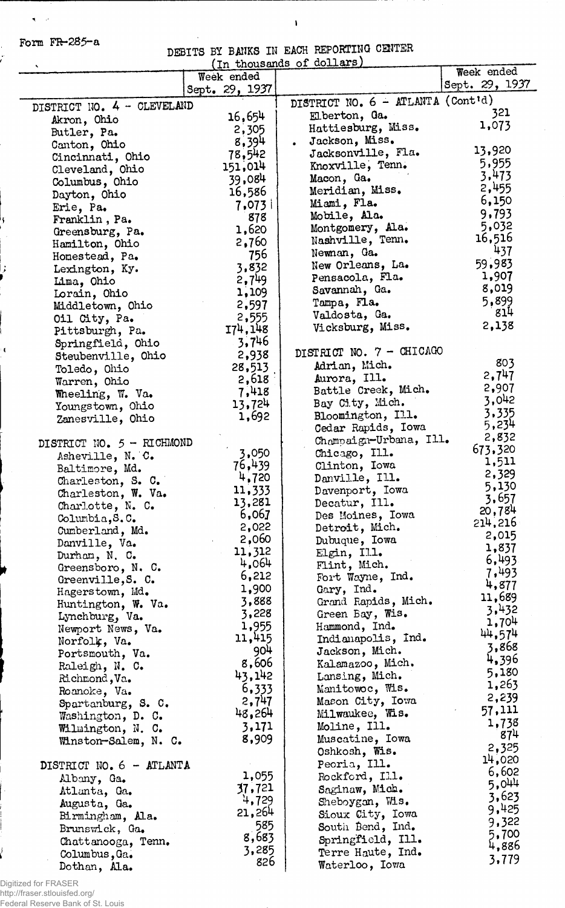Form  $FR-285-a$ 

 $\langle \langle \pmb{\pi} \rangle \rangle$ 

ķ

ż

 $\pmb{\mathfrak{c}}$ 

### DEBITS BY BANKS IN EACH REPORTING CENTER

 $\ddot{\phantom{a}}$ 

I

|                                        |                | (In thousands of dollars)                                  |                              |
|----------------------------------------|----------------|------------------------------------------------------------|------------------------------|
|                                        | Week ended     |                                                            | Week ended<br>Sept. 29, 1937 |
|                                        | Sept. 29, 1937 |                                                            |                              |
| DISTRICT NO. 4 - CLEVELAND             |                | DISTRICT NO. $6 - \text{ATLANTA} (\text{Cont}^{\dagger}d)$ | 321                          |
| Akron, Ohio                            | 16.654         | Elberton, Ga.                                              | 1,073                        |
| Butler, Pa.                            | 2,305          | Hattiesburg, Miss.                                         |                              |
| Canton, Ohio                           | 8,394          | Jackson, Miss.                                             | 13,920                       |
| Cincinnati, Ohio                       | 78,542         | Jacksonville, Fla.                                         | 5,955                        |
| Cleveland, Ohio                        | 151,014        | Knoxville, Tenn.                                           | 3,473                        |
| Columbus, Ohio                         | 39,084         | Macon, Ga.                                                 | 2,455                        |
| Dayton, Ohio                           | 16,586         | Meridian, Miss.<br>Miami, Fla.                             | 6,150                        |
| Erie, Pa.                              | 7,073          | Mobile, Ala.                                               | 9,793                        |
| Franklin, Pa.                          | 878            | Montgomery, Ala.                                           | 5,032                        |
| Greensburg, Pa.                        | 1,620          | Nashville, Tenn.                                           | 16,516                       |
| Hamilton, Ohio                         | 2,760          | Newnan, Ga.                                                | 437                          |
| Homestead, Pa.                         | 756            | New Orleans, La.                                           | 59,983                       |
| Lexington, Ky.                         | 3,832<br>2,749 | Pensacola, Fla.                                            | 1,907                        |
| Lima, Ohio                             | 1,109          | Savannah, Ga.                                              | 8,019                        |
| Lorain, Ohio                           | 2,597          | Tampa, Fla.                                                | 5,899                        |
| Middletown, Ohio                       | 2,555          | Valdosta, Ga.                                              | 814                          |
| Oil City, Pa.<br>Pittsburgh, Pa.       | 174,148        | Vicksburg, Miss.                                           | 2,138                        |
| Springfield, Ohio                      | 3,746          |                                                            |                              |
| Steubenville, Ohio                     | 2,938          | DISTRICT NO. 7 - CHICAGO                                   |                              |
| Toledo, Ohio                           | 28,513         | Adrian, Mich.                                              | 803                          |
| Warren, Ohio                           | 2,618          | Aurora, Ill.                                               | 2,747                        |
| Wheeling, W. Va.                       | 7,418          | Battle Creek, Mich.                                        | 2,907                        |
| Youngstown, Ohio                       | 13,724         | Bay City, Mich.                                            | 3,042                        |
| Zanesville, Ohio                       | 1,692          | Bloomington, Ill.                                          | 3,335                        |
|                                        |                | Cedar Rapids, Iowa                                         | 5,234                        |
| DISTRICT NO. 5 - RICHMOND              |                | Champaign-Urbana, Ill.                                     | 2,832                        |
| Asheville, N. C.                       | 3,050          | Chicago, Ill.                                              | 673,320                      |
| Baltimore, Md.                         | 76,439         | Clinton, Iowa                                              | 1,511                        |
| Charleston, S. C.                      | 4,720          | Danville, Ill.                                             | 2,329                        |
| Charleston, W. Va.                     | 11,333         | Davenport, Iowa                                            | 5,130                        |
| Charlotte, N. C.                       | 13,281         | Decatur, Ill.                                              | 3,657<br>20,784              |
| Columbia,S.C.                          | 6,067          | Des Moines, Iowa                                           | 214,216                      |
| Cumberland, Md.                        | 2,022          | Detroit, Mich.                                             | 2,015                        |
| Danville, Va.                          | 2,060          | Dubuque, Iowa                                              | 1,837                        |
| Durham, N. C.                          | 11,312         | Elgin, $II.1$ .                                            | 6,493                        |
| Greensboro, N. C.                      | 4,064          | Flint, Mich.                                               | 7,493                        |
| Greenville, S. C.                      | 6,212          | Fort Wayne, Ind.                                           | 4,877                        |
| Hagerstown, Md.                        | 1,900          | Gary, Ind.                                                 | 11,689                       |
| Huntington, W. Va.                     | 3,888          | Grand Rapids, Mich.                                        | 3,432                        |
| Lynchburg, Va.                         | 3,228<br>1,955 | Green Bay, Wis.                                            | 1,704                        |
| Newport News, Va.                      | 11,415         | Hammond, Ind.<br>Indianapolis, Ind.                        | 44,574                       |
| Norfolk, Va.                           | 904            | Jackson, Mich.                                             | 3,868                        |
| Portsmouth, Va.                        | 8,606          | Kalamazoo, Mich.                                           | 4,396                        |
| Raleigh, N. C.                         | 43,142         | Lansing, Mich.                                             | 5,180                        |
| Na. Nachmond, Va.                      | 6,333          | Manitowoc, Wis.                                            | 1,263                        |
| Roanoke, Va.                           | 2,747          | Mason City, Iowa                                           | 2,239                        |
| Spartanburg, S. C.                     | 48,264         | Milwaukee, Wis.                                            | 57,111                       |
| Washington, D. C.<br>Wilmington, N. C. | 3,171          | Moline, Ill.                                               | 1,738                        |
| Winston-Salem, N. C.                   | 8,909          | Muscatine, Iowa                                            | 874                          |
|                                        |                | Oshkosh, Wis.                                              | 2,325                        |
| DISTRICT NO. 6 - ATLANTA               |                | Peoria, Ill.                                               | 14,020                       |
| Albany, Ga.                            | 1,055          | Rockford, Ill.                                             | 6,602                        |
| Atlanta, Ga.                           | 37,721         | Saginaw, Mich.                                             | 5,044                        |
| Augusta, Ga.                           | 4,729          | Sheboygan, Mis.                                            | 3,623                        |
| Birmingham, Ala.                       | 21,264         | Sioux City, Iowa                                           | 9,425                        |
| Brunswick, Ga.                         | 585            | South Bend, Ind.                                           | 9,322                        |
| Chattanooga, Tenn.                     | 8,683          | Springfield, Ill.                                          | 5,700                        |
| Columbus, Ga.                          | 3,285          | Terre Haute, Ind.                                          | 4,886                        |
| Dothan, Ala.                           | 826            | Waterloo, Iowa                                             | 3,779                        |
|                                        |                |                                                            |                              |

Digitized for FRASER http://fraser.stlouisfed.org/ Federal Reserve Bank of St. Louis

l